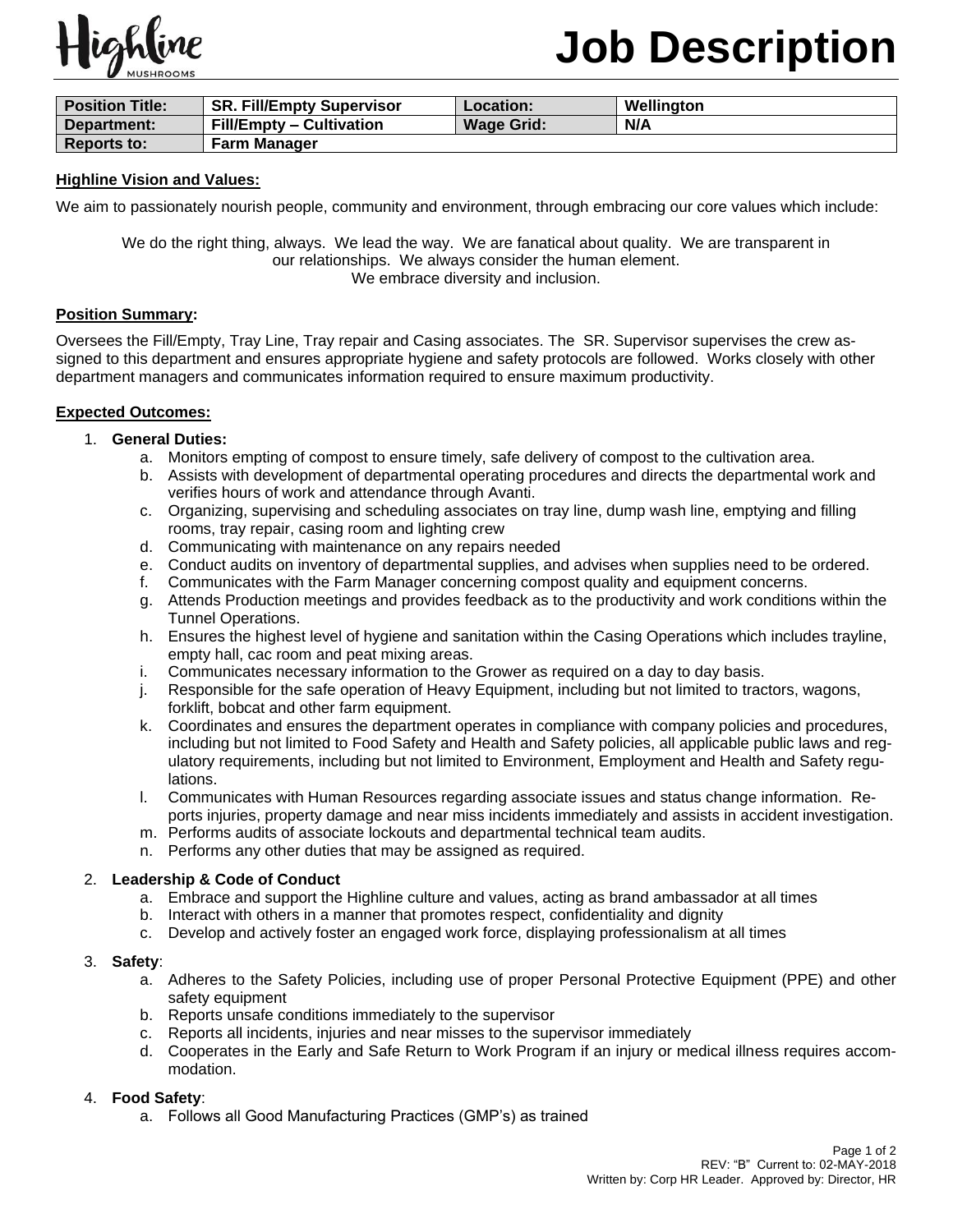

| <b>Position Title:</b> | <b>SR. Fill/Empty Supervisor</b> | Location:         | Wellington |
|------------------------|----------------------------------|-------------------|------------|
| Department:            | <b>Fill/Empty – Cultivation</b>  | <b>Wage Grid:</b> | N/A        |
| <b>Reports to:</b>     | <b>Farm Manager</b>              |                   |            |

## **Highline Vision and Values:**

We aim to passionately nourish people, community and environment, through embracing our core values which include:

We do the right thing, always. We lead the way. We are fanatical about quality. We are transparent in our relationships. We always consider the human element. We embrace diversity and inclusion.

## **Position Summary:**

Oversees the Fill/Empty, Tray Line, Tray repair and Casing associates. The SR. Supervisor supervises the crew assigned to this department and ensures appropriate hygiene and safety protocols are followed. Works closely with other department managers and communicates information required to ensure maximum productivity.

### **Expected Outcomes:**

## 1. **General Duties:**

- a. Monitors empting of compost to ensure timely, safe delivery of compost to the cultivation area.
- b. Assists with development of departmental operating procedures and directs the departmental work and verifies hours of work and attendance through Avanti.
- c. Organizing, supervising and scheduling associates on tray line, dump wash line, emptying and filling rooms, tray repair, casing room and lighting crew
- d. Communicating with maintenance on any repairs needed
- e. Conduct audits on inventory of departmental supplies, and advises when supplies need to be ordered.
- f. Communicates with the Farm Manager concerning compost quality and equipment concerns.
- g. Attends Production meetings and provides feedback as to the productivity and work conditions within the Tunnel Operations.
- h. Ensures the highest level of hygiene and sanitation within the Casing Operations which includes trayline, empty hall, cac room and peat mixing areas.
- i. Communicates necessary information to the Grower as required on a day to day basis.
- j. Responsible for the safe operation of Heavy Equipment, including but not limited to tractors, wagons, forklift, bobcat and other farm equipment.
- k. Coordinates and ensures the department operates in compliance with company policies and procedures, including but not limited to Food Safety and Health and Safety policies, all applicable public laws and regulatory requirements, including but not limited to Environment, Employment and Health and Safety regulations.
- l. Communicates with Human Resources regarding associate issues and status change information. Reports injuries, property damage and near miss incidents immediately and assists in accident investigation.
- m. Performs audits of associate lockouts and departmental technical team audits.
- n. Performs any other duties that may be assigned as required.

### 2. **Leadership & Code of Conduct**

- a. Embrace and support the Highline culture and values, acting as brand ambassador at all times
- b. Interact with others in a manner that promotes respect, confidentiality and dignity
- c. Develop and actively foster an engaged work force, displaying professionalism at all times

### 3. **Safety**:

- a. Adheres to the Safety Policies, including use of proper Personal Protective Equipment (PPE) and other safety equipment
- b. Reports unsafe conditions immediately to the supervisor
- c. Reports all incidents, injuries and near misses to the supervisor immediately
- d. Cooperates in the Early and Safe Return to Work Program if an injury or medical illness requires accommodation.

### 4. **Food Safety**:

a. Follows all Good Manufacturing Practices (GMP's) as trained